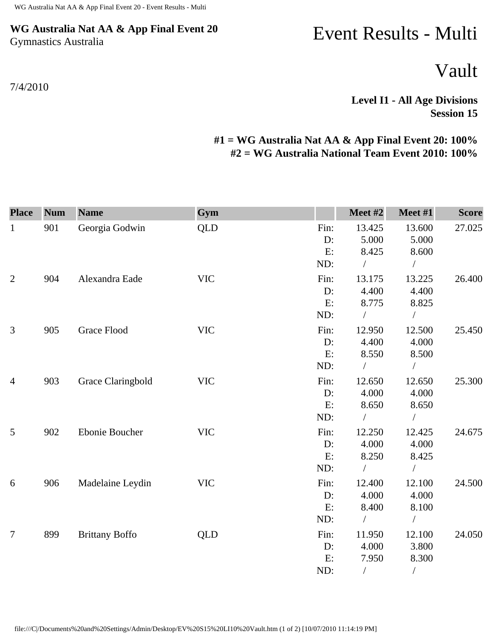## **WG Australia Nat AA & App Final Event 20** Gymnastics Australia

## 7/4/2010

## Event Results - Multi

Vault

**Level I1 - All Age Divisions Session 15** 

## **#1 = WG Australia Nat AA & App Final Event 20: 100% #2 = WG Australia National Team Event 2010: 100%**

| <b>Place</b>   | <b>Num</b> | <b>Name</b>           | Gym        |      | Meet #2       | Meet #1        | <b>Score</b> |
|----------------|------------|-----------------------|------------|------|---------------|----------------|--------------|
| $\mathbf{1}$   | 901        | Georgia Godwin        | <b>QLD</b> | Fin: | 13.425        | 13.600         | 27.025       |
|                |            |                       |            | D:   | 5.000         | 5.000          |              |
|                |            |                       |            | E:   | 8.425         | 8.600          |              |
|                |            |                       |            | ND:  | $\sqrt{2}$    | $\sqrt{2}$     |              |
| $\mathbf{2}$   | 904        | Alexandra Eade        | <b>VIC</b> | Fin: | 13.175        | 13.225         | 26.400       |
|                |            |                       |            | D:   | 4.400         | 4.400          |              |
|                |            |                       |            | E:   | 8.775         | 8.825          |              |
|                |            |                       |            | ND:  | $\frac{1}{2}$ | $\overline{1}$ |              |
| 3              | 905        | <b>Grace Flood</b>    | <b>VIC</b> | Fin: | 12.950        | 12.500         | 25.450       |
|                |            |                       |            | D:   | 4.400         | 4.000          |              |
|                |            |                       |            | E:   | 8.550         | 8.500          |              |
|                |            |                       |            | ND:  |               | $\sqrt{2}$     |              |
| $\overline{4}$ | 903        | Grace Claringbold     | <b>VIC</b> | Fin: | 12.650        | 12.650         | 25.300       |
|                |            |                       |            | D:   | 4.000         | 4.000          |              |
|                |            |                       |            | E:   | 8.650         | 8.650          |              |
|                |            |                       |            | ND:  | $\sqrt{2}$    | $\bigg)$       |              |
| 5              | 902        | Ebonie Boucher        | <b>VIC</b> | Fin: | 12.250        | 12.425         | 24.675       |
|                |            |                       |            | D:   | 4.000         | 4.000          |              |
|                |            |                       |            | E:   | 8.250         | 8.425          |              |
|                |            |                       |            | ND:  |               | $\sqrt{2}$     |              |
| 6              | 906        | Madelaine Leydin      | <b>VIC</b> | Fin: | 12.400        | 12.100         | 24.500       |
|                |            |                       |            | D:   | 4.000         | 4.000          |              |
|                |            |                       |            | E:   | 8.400         | 8.100          |              |
|                |            |                       |            | ND:  |               |                |              |
| $\overline{7}$ | 899        | <b>Brittany Boffo</b> | <b>QLD</b> | Fin: | 11.950        | 12.100         | 24.050       |
|                |            |                       |            | D:   | 4.000         | 3.800          |              |
|                |            |                       |            | E:   | 7.950         | 8.300          |              |
|                |            |                       |            | ND:  | T             | $\overline{ }$ |              |